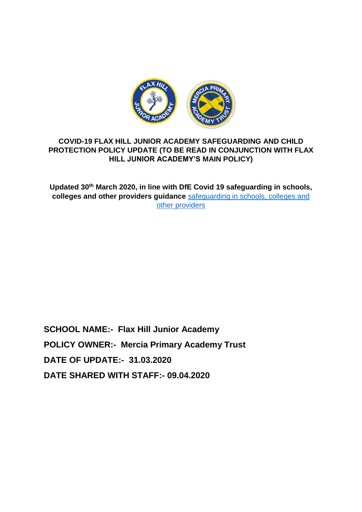

# **COVID-19 FLAX HILL JUNIOR ACADEMY SAFEGUARDING AND CHILD PROTECTION POLICY UPDATE (TO BE READ IN CONJUNCTION WITH FLAX HILL JUNIOR ACADEMY'S MAIN POLICY)**

**Updated 30th March 2020, in line with DfE Covid 19 safeguarding in schools, colleges and other providers guidance** [safeguarding in schools, colleges and](https://www.gov.uk/government/publications/covid-19-safeguarding-in-schools-colleges-and-other-providers/coronavirus-covid-19-safeguarding-in-schools-colleges-and-other-providers)  [other providers](https://www.gov.uk/government/publications/covid-19-safeguarding-in-schools-colleges-and-other-providers/coronavirus-covid-19-safeguarding-in-schools-colleges-and-other-providers)

**SCHOOL NAME:- Flax Hill Junior Academy POLICY OWNER:- Mercia Primary Academy Trust DATE OF UPDATE:- 31.03.2020 DATE SHARED WITH STAFF:- 09.04.2020**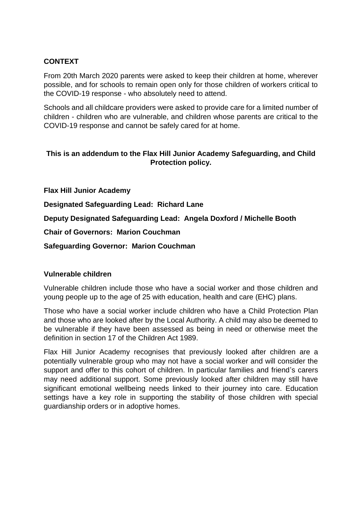### **CONTEXT**

From 20th March 2020 parents were asked to keep their children at home, wherever possible, and for schools to remain open only for those children of workers critical to the COVID-19 response - who absolutely need to attend.

Schools and all childcare providers were asked to provide care for a limited number of children - children who are vulnerable, and children whose parents are critical to the COVID-19 response and cannot be safely cared for at home.

### **This is an addendum to the Flax Hill Junior Academy Safeguarding, and Child Protection policy.**

**Flax Hill Junior Academy**

**Designated Safeguarding Lead: Richard Lane**

**Deputy Designated Safeguarding Lead: Angela Doxford / Michelle Booth**

**Chair of Governors: Marion Couchman**

**Safeguarding Governor: Marion Couchman**

#### **Vulnerable children**

Vulnerable children include those who have a social worker and those children and young people up to the age of 25 with education, health and care (EHC) plans.

Those who have a social worker include children who have a Child Protection Plan and those who are looked after by the Local Authority. A child may also be deemed to be vulnerable if they have been assessed as being in need or otherwise meet the definition in section 17 of the Children Act 1989.

Flax Hill Junior Academy recognises that previously looked after children are a potentially vulnerable group who may not have a social worker and will consider the support and offer to this cohort of children. In particular families and friend's carers may need additional support. Some previously looked after children may still have significant emotional wellbeing needs linked to their journey into care. Education settings have a key role in supporting the stability of those children with special guardianship orders or in adoptive homes.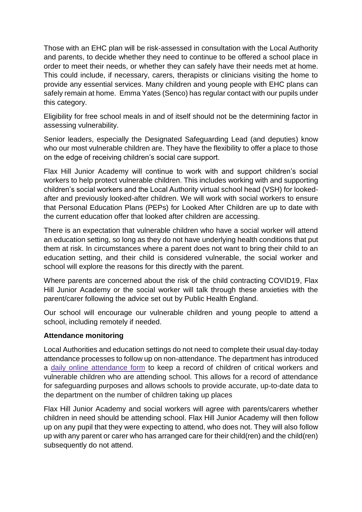Those with an EHC plan will be risk-assessed in consultation with the Local Authority and parents, to decide whether they need to continue to be offered a school place in order to meet their needs, or whether they can safely have their needs met at home. This could include, if necessary, carers, therapists or clinicians visiting the home to provide any essential services. Many children and young people with EHC plans can safely remain at home. Emma Yates (Senco) has regular contact with our pupils under this category.

Eligibility for free school meals in and of itself should not be the determining factor in assessing vulnerability.

Senior leaders, especially the Designated Safeguarding Lead (and deputies) know who our most vulnerable children are. They have the flexibility to offer a place to those on the edge of receiving children's social care support.

Flax Hill Junior Academy will continue to work with and support children's social workers to help protect vulnerable children. This includes working with and supporting children's social workers and the Local Authority virtual school head (VSH) for lookedafter and previously looked-after children. We will work with social workers to ensure that Personal Education Plans (PEPs) for Looked After Children are up to date with the current education offer that looked after children are accessing.

There is an expectation that vulnerable children who have a social worker will attend an education setting, so long as they do not have underlying health conditions that put them at risk. In circumstances where a parent does not want to bring their child to an education setting, and their child is considered vulnerable, the social worker and school will explore the reasons for this directly with the parent.

Where parents are concerned about the risk of the child contracting COVID19, Flax Hill Junior Academy or the social worker will talk through these anxieties with the parent/carer following the advice set out by Public Health England.

Our school will encourage our vulnerable children and young people to attend a school, including remotely if needed.

# **Attendance monitoring**

Local Authorities and education settings do not need to complete their usual day-today attendance processes to follow up on non-attendance. The department has introduced a daily online [attendance](https://www.gov.uk/government/publications/coronavirus-covid-19-attendance-recording-for-educational-settings) form to keep a record of children of critical workers and vulnerable children who are attending school. This allows for a record of attendance for safeguarding purposes and allows schools to provide accurate, up-to-date data to the department on the number of children taking up places

Flax Hill Junior Academy and social workers will agree with parents/carers whether children in need should be attending school. Flax Hill Junior Academy will then follow up on any pupil that they were expecting to attend, who does not. They will also follow up with any parent or carer who has arranged care for their child(ren) and the child(ren) subsequently do not attend.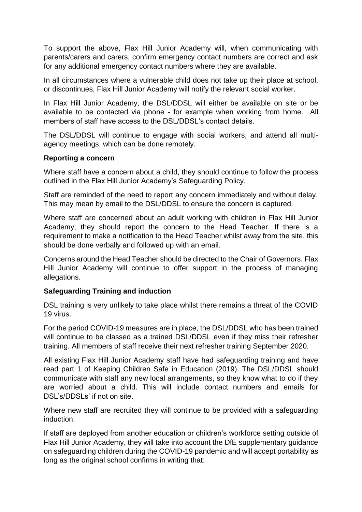To support the above, Flax Hill Junior Academy will, when communicating with parents/carers and carers, confirm emergency contact numbers are correct and ask for any additional emergency contact numbers where they are available.

In all circumstances where a vulnerable child does not take up their place at school, or discontinues, Flax Hill Junior Academy will notify the relevant social worker.

In Flax Hill Junior Academy, the DSL/DDSL will either be available on site or be available to be contacted via phone - for example when working from home. All members of staff have access to the DSL/DDSL's contact details.

The DSL/DDSL will continue to engage with social workers, and attend all multiagency meetings, which can be done remotely.

#### **Reporting a concern**

Where staff have a concern about a child, they should continue to follow the process outlined in the Flax Hill Junior Academy's Safeguarding Policy.

Staff are reminded of the need to report any concern immediately and without delay. This may mean by email to the DSL/DDSL to ensure the concern is captured.

Where staff are concerned about an adult working with children in Flax Hill Junior Academy, they should report the concern to the Head Teacher. If there is a requirement to make a notification to the Head Teacher whilst away from the site, this should be done verbally and followed up with an email.

Concerns around the Head Teacher should be directed to the Chair of Governors. Flax Hill Junior Academy will continue to offer support in the process of managing allegations.

#### **Safeguarding Training and induction**

DSL training is very unlikely to take place whilst there remains a threat of the COVID 19 virus.

For the period COVID-19 measures are in place, the DSL/DDSL who has been trained will continue to be classed as a trained DSL/DDSL even if they miss their refresher training. All members of staff receive their next refresher training September 2020.

All existing Flax Hill Junior Academy staff have had safeguarding training and have read part 1 of Keeping Children Safe in Education (2019). The DSL/DDSL should communicate with staff any new local arrangements, so they know what to do if they are worried about a child. This will include contact numbers and emails for DSL's/DDSLs' if not on site.

Where new staff are recruited they will continue to be provided with a safeguarding induction.

If staff are deployed from another education or children's workforce setting outside of Flax Hill Junior Academy, they will take into account the DfE supplementary guidance on safeguarding children during the COVID-19 pandemic and will accept portability as long as the original school confirms in writing that: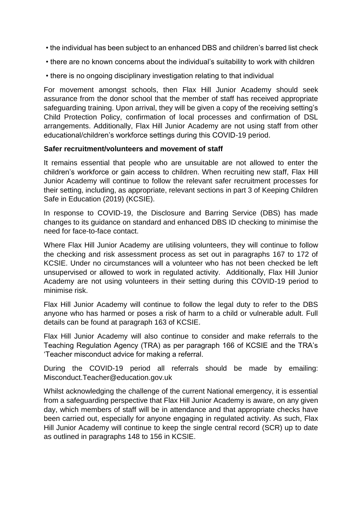- the individual has been subject to an enhanced DBS and children's barred list check
- there are no known concerns about the individual's suitability to work with children
- there is no ongoing disciplinary investigation relating to that individual

For movement amongst schools, then Flax Hill Junior Academy should seek assurance from the donor school that the member of staff has received appropriate safeguarding training. Upon arrival, they will be given a copy of the receiving setting's Child Protection Policy, confirmation of local processes and confirmation of DSL arrangements. Additionally, Flax Hill Junior Academy are not using staff from other educational/children's workforce settings during this COVID-19 period.

#### **Safer recruitment/volunteers and movement of staff**

It remains essential that people who are unsuitable are not allowed to enter the children's workforce or gain access to children. When recruiting new staff, Flax Hill Junior Academy will continue to follow the relevant safer recruitment processes for their setting, including, as appropriate, relevant sections in part 3 of Keeping Children Safe in Education (2019) (KCSIE).

In response to COVID-19, the Disclosure and Barring Service (DBS) has made changes to its guidance on standard and enhanced DBS ID checking to minimise the need for face-to-face contact.

Where Flax Hill Junior Academy are utilising volunteers, they will continue to follow the checking and risk assessment process as set out in paragraphs 167 to 172 of KCSIE. Under no circumstances will a volunteer who has not been checked be left unsupervised or allowed to work in regulated activity. Additionally, Flax Hill Junior Academy are not using volunteers in their setting during this COVID-19 period to minimise risk.

Flax Hill Junior Academy will continue to follow the legal duty to refer to the DBS anyone who has harmed or poses a risk of harm to a child or vulnerable adult. Full details can be found at paragraph 163 of KCSIE.

Flax Hill Junior Academy will also continue to consider and make referrals to the Teaching Regulation Agency (TRA) as per paragraph 166 of KCSIE and the TRA's 'Teacher misconduct advice for making a referral.

During the COVID-19 period all referrals should be made by emailing: Misconduct.Teacher@education.gov.uk

Whilst acknowledging the challenge of the current National emergency, it is essential from a safeguarding perspective that Flax Hill Junior Academy is aware, on any given day, which members of staff will be in attendance and that appropriate checks have been carried out, especially for anyone engaging in regulated activity. As such, Flax Hill Junior Academy will continue to keep the single central record (SCR) up to date as outlined in paragraphs 148 to 156 in KCSIE.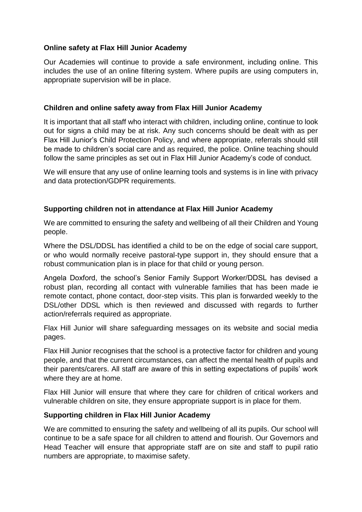### **Online safety at Flax Hill Junior Academy**

Our Academies will continue to provide a safe environment, including online. This includes the use of an online filtering system. Where pupils are using computers in, appropriate supervision will be in place.

#### **Children and online safety away from Flax Hill Junior Academy**

It is important that all staff who interact with children, including online, continue to look out for signs a child may be at risk. Any such concerns should be dealt with as per Flax Hill Junior's Child Protection Policy, and where appropriate, referrals should still be made to children's social care and as required, the police. Online teaching should follow the same principles as set out in Flax Hill Junior Academy's code of conduct.

We will ensure that any use of online learning tools and systems is in line with privacy and data protection/GDPR requirements.

#### **Supporting children not in attendance at Flax Hill Junior Academy**

We are committed to ensuring the safety and wellbeing of all their Children and Young people.

Where the DSL/DDSL has identified a child to be on the edge of social care support, or who would normally receive pastoral-type support in, they should ensure that a robust communication plan is in place for that child or young person.

Angela Doxford, the school's Senior Family Support Worker/DDSL has devised a robust plan, recording all contact with vulnerable families that has been made ie remote contact, phone contact, door-step visits. This plan is forwarded weekly to the DSL/other DDSL which is then reviewed and discussed with regards to further action/referrals required as appropriate.

Flax Hill Junior will share safeguarding messages on its website and social media pages.

Flax Hill Junior recognises that the school is a protective factor for children and young people, and that the current circumstances, can affect the mental health of pupils and their parents/carers. All staff are aware of this in setting expectations of pupils' work where they are at home.

Flax Hill Junior will ensure that where they care for children of critical workers and vulnerable children on site, they ensure appropriate support is in place for them.

#### **Supporting children in Flax Hill Junior Academy**

We are committed to ensuring the safety and wellbeing of all its pupils. Our school will continue to be a safe space for all children to attend and flourish. Our Governors and Head Teacher will ensure that appropriate staff are on site and staff to pupil ratio numbers are appropriate, to maximise safety.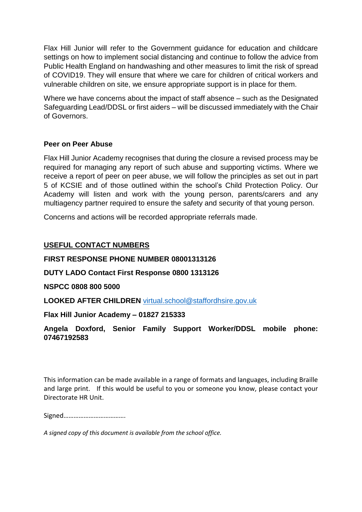Flax Hill Junior will refer to the Government guidance for education and childcare settings on how to implement social distancing and continue to follow the advice from Public Health England on handwashing and other measures to limit the risk of spread of COVID19. They will ensure that where we care for children of critical workers and vulnerable children on site, we ensure appropriate support is in place for them.

Where we have concerns about the impact of staff absence – such as the Designated Safeguarding Lead/DDSL or first aiders – will be discussed immediately with the Chair of Governors.

### **Peer on Peer Abuse**

Flax Hill Junior Academy recognises that during the closure a revised process may be required for managing any report of such abuse and supporting victims. Where we receive a report of peer on peer abuse, we will follow the principles as set out in part 5 of KCSIE and of those outlined within the school's Child Protection Policy. Our Academy will listen and work with the young person, parents/carers and any multiagency partner required to ensure the safety and security of that young person.

Concerns and actions will be recorded appropriate referrals made.

# **USEFUL CONTACT NUMBERS**

### **FIRST RESPONSE PHONE NUMBER 08001313126**

# **DUTY LADO Contact First Response 0800 1313126**

#### **NSPCC 0808 800 5000**

**LOOKED AFTER CHILDREN** [virtual.school@staffordhsire.gov.uk](mailto:virtual.school@staffordhsire.gov.uk)

#### **Flax Hill Junior Academy – 01827 215333**

### **Angela Doxford, Senior Family Support Worker/DDSL mobile phone: 07467192583**

This information can be made available in a range of formats and languages, including Braille and large print. If this would be useful to you or someone you know, please contact your Directorate HR Unit.

Signed……………………………….

*A signed copy of this document is available from the school office.*